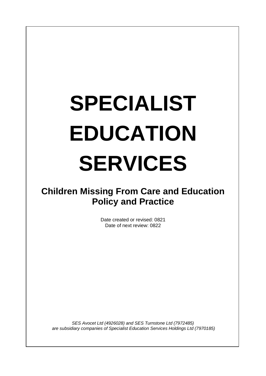# **SPECIALIST EDUCATION SERVICES**

# **Children Missing From Care and Education Policy and Practice**

Date created or revised: 0821 Date of next review: 0822

*SES Avocet Ltd (4926028) and SES Turnstone Ltd (7972485) are subsidiary companies of Specialist Education Services Holdings Ltd (7970185)*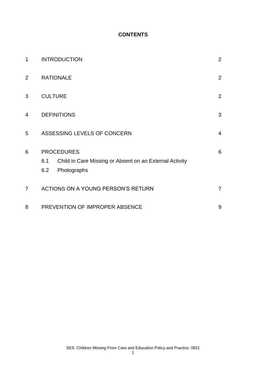# **CONTENTS**

| 1              | <b>INTRODUCTION</b>                                                                                       | $\overline{2}$ |
|----------------|-----------------------------------------------------------------------------------------------------------|----------------|
| $\overline{2}$ | <b>RATIONALE</b>                                                                                          | $\overline{2}$ |
| 3              | <b>CULTURE</b>                                                                                            | $\overline{2}$ |
| $\overline{4}$ | <b>DEFINITIONS</b>                                                                                        | 3              |
| 5              | ASSESSING LEVELS OF CONCERN                                                                               | $\overline{4}$ |
| 6              | <b>PROCEDURES</b><br>Child in Care Missing or Absent on an External Activity<br>6.1<br>6.2<br>Photographs | 6              |
| $\overline{7}$ | ACTIONS ON A YOUNG PERSON'S RETURN                                                                        | $\overline{7}$ |
| 8              | PREVENTION OF IMPROPER ABSENCE                                                                            | 9              |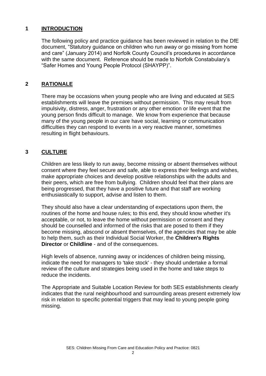# **1 INTRODUCTION**

The following policy and practice guidance has been reviewed in relation to the DfE document, "Statutory guidance on children who run away or go missing from home and care" (January 2014) and Norfolk County Council's procedures in accordance with the same document. Reference should be made to Norfolk Constabulary's "Safer Homes and Young People Protocol (SHAYPP)".

# **2 RATIONALE**

There may be occasions when young people who are living and educated at SES establishments will leave the premises without permission. This may result from impulsivity, distress, anger, frustration or any other emotion or life event that the young person finds difficult to manage. We know from experience that because many of the young people in our care have social, learning or communication difficulties they can respond to events in a very reactive manner, sometimes resulting in flight behaviours.

# **3 CULTURE**

Children are less likely to run away, become missing or absent themselves without consent where they feel secure and safe, able to express their feelings and wishes, make appropriate choices and develop positive relationships with the adults and their peers, which are free from bullying. Children should feel that their plans are being progressed, that they have a positive future and that staff are working enthusiastically to support, advise and listen to them.

They should also have a clear understanding of expectations upon them, the routines of the home and house rules; to this end, they should know whether it's acceptable, or not, to leave the home without permission or consent and they should be counselled and informed of the risks that are posed to them if they become missing, abscond or absent themselves, of the agencies that may be able to help them, such as their Individual Social Worker, the **[Children's Rights](http://trixresources.proceduresonline.com/nat_key/keywords/child_rights_director.html)  [Director](http://trixresources.proceduresonline.com/nat_key/keywords/child_rights_director.html)** or **[Childline](http://www.childline.org.uk/Pages/Home.aspx)** - and of the consequences.

High levels of absence, running away or incidences of children being missing, indicate the need for managers to 'take stock' - they should undertake a formal review of the culture and strategies being used in the home and take steps to reduce the incidents.

The Appropriate and Suitable Location Review for both SES establishments clearly indicates that the rural neighbourhood and surrounding areas present extremely low risk in relation to specific potential triggers that may lead to young people going missing.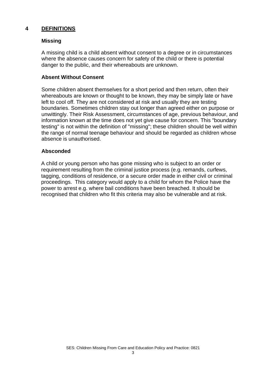# **4 DEFINITIONS**

#### **Missing**

A missing child is a child absent without consent to a degree or in circumstances where the absence causes concern for safety of the child or there is potential danger to the public, and their whereabouts are unknown.

#### **Absent Without Consent**

Some children absent themselves for a short period and then return, often their whereabouts are known or thought to be known, they may be simply late or have left to cool off. They are not considered at risk and usually they are testing boundaries. Sometimes children stay out longer than agreed either on purpose or unwittingly. Their Risk Assessment, circumstances of age, previous behaviour, and information known at the time does not yet give cause for concern. This "boundary testing" is not within the definition of "missing"; these children should be well within the range of normal teenage behaviour and should be regarded as children whose absence is unauthorised.

#### **Absconded**

A child or young person who has gone missing who is subject to an order or requirement resulting from the criminal justice process (e.g. remands, curfews, tagging, conditions of residence, or a secure order made in either civil or criminal proceedings. This category would apply to a child for whom the Police have the power to arrest e.g. where bail conditions have been breached. It should be recognised that children who fit this criteria may also be vulnerable and at risk.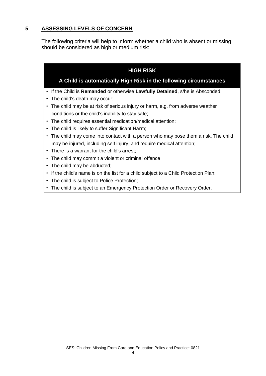# **5 ASSESSING LEVELS OF CONCERN**

The following criteria will help to inform whether a child who is absent or missing should be considered as high or medium risk:

# **HIGH RISK**

# **A Child is automatically High Risk in the following circumstances**

- If the Child is **[Remanded](http://trixresources.proceduresonline.com/nat_key/keywords/remand.html)** or otherwise **[Lawfully Detained](http://trixresources.proceduresonline.com/nat_key/keywords/lawfully_detained.html)**, s/he is Absconded;
- The child's death may occur;
- The child may be at risk of serious injury or harm, e.g. from adverse weather conditions or the child's inability to stay safe;
- The child requires essential medication/medical attention;
- The child is likely to suffer Significant Harm;
- The child may come into contact with a person who may pose them a risk. The child may be injured, including self injury, and require medical attention;
- There is a warrant for the child's arrest;
- The child may commit a violent or criminal offence;
- The child may be abducted;
- If the child's name is on the list for a child subject to a Child Protection Plan;
- The child is subject to Police Protection;
- The child is subject to an Emergency Protection Order or Recovery Order.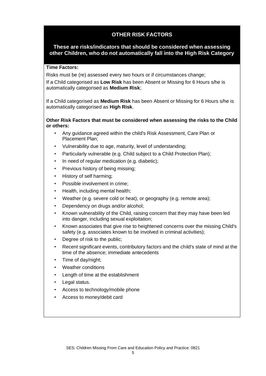# **OTHER RISK FACTORS**

#### **These are risks/indicators that should be considered when assessing other Children, who do not automatically fall into the High Risk Category**

#### **Time Factors:**

Risks must be (re) assessed every two hours or if circumstances change;

If a Child categorised as **Low Risk** has been Absent or Missing for 6 Hours s/he is automatically categorised as **Medium Risk**;

If a Child categorised as **Medium Risk** has been Absent or Missing for 6 Hours s/he is automatically categorised as **High Risk**.

#### **Other Risk Factors that must be considered when assessing the risks to the Child or others:**

- Any guidance agreed within the child's Risk Assessment, Care Plan or Placement Plan;
- Vulnerability due to age, maturity, level of understanding;
- Particularly vulnerable (e.g. Child subject to a Child Protection Plan);
- In need of regular medication (e.g. diabetic);
- Previous history of being missing;
- History of self harming;
- Possible involvement in crime:
- Health, including mental health;
- Weather (e.g. severe cold or heat), or geography (e.g. remote area);
- Dependency on drugs and/or alcohol;
- Known vulnerability of the Child, raising concern that they may have been led into danger, including sexual exploitation;
- Known associates that give rise to heightened concerns over the missing Child's safety (e.g. associates known to be involved in criminal activities);
- Degree of risk to the public;
- Recent significant events, contributory factors and the child's state of mind at the time of the absence; immediate antecedents
- Time of day/night;
- Weather conditions
- Length of time at the establishment
- Legal status.
- Access to technology/mobile phone
- Access to money/debit card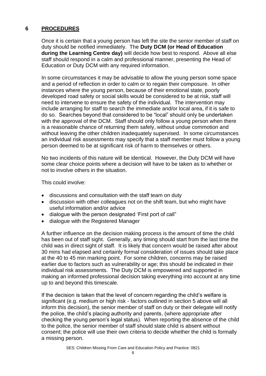# **6 PROCEDURES**

Once it is certain that a young person has left the site the senior member of staff on duty should be notified immediately. The **Duty DCM (or Head of Education during the Learning Centre day)** will decide how best to respond. Above all else staff should respond in a calm and professional manner, presenting the Head of Education or Duty DCM with any required information.

In some circumstances it may be advisable to allow the young person some space and a period of reflection in order to calm or to regain their composure. In other instances where the young person, because of their emotional state, poorly developed road safety or social skills would be considered to be at risk, staff will need to intervene to ensure the safety of the individual. The intervention may include arranging for staff to search the immediate and/or local area, if it is safe to do so. Searches beyond that considered to be "local" should only be undertaken with the approval of the DCM. Staff should only follow a young person when there is a reasonable chance of returning them safely, without undue commotion and without leaving the other children inadequately supervised. In some circumstances an individual risk assessments may specify that a staff member must follow a young person deemed to be at significant risk of harm to themselves or others.

No two incidents of this nature will be identical. However, the Duty DCM will have some clear choice points where a decision will have to be taken as to whether or not to involve others in the situation.

This could involve:

- discussions and consultation with the staff team on duty
- discussion with other colleagues not on the shift team, but who might have useful information and/or advice
- dialogue with the person designated 'First port of call"
- dialogue with the Registered Manager

A further influence on the decision making process is the amount of time the child has been out of staff sight. Generally, any timing should start from the last time the child was in direct sight of staff. It is likely that concern would be raised after about 30 mins had elapsed and certainly formal consideration of issues should take place at the 40 to 45 min marking point. For some children, concerns may be raised earlier due to factors such as vulnerability or age; this should be indicated in their individual risk assessments. The Duty DCM is empowered and supported in making an informed professional decision taking everything into account at any time up to and beyond this timescale.

If the decision is taken that the level of concern regarding the child's welfare is significant (e.g. medium or high risk - factors outlined in section 5 above will all inform this decision), the senior member of staff on duty or their delegate will notify the police, the child's placing authority and parents, (where appropriate after checking the young person's legal status). When reporting the absence of the child to the police, the senior member of staff should state child is absent without consent; the police will use their own criteria to decide whether the child is formally a missing person.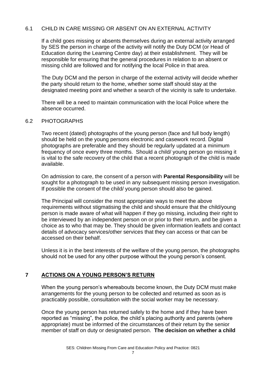# 6.1 CHILD IN CARE MISSING OR ABSENT ON AN EXTERNAL ACTIVITY

If a child goes missing or absents themselves during an external activity arranged by SES the person in charge of the activity will notify the Duty DCM (or Head of Education during the Learning Centre day) at their establishment. They will be responsible for ensuring that the general procedures in relation to an absent or missing child are followed and for notifying the local Police in that area.

The Duty DCM and the person in charge of the external activity will decide whether the party should return to the home, whether some staff should stay at the designated meeting point and whether a search of the vicinity is safe to undertake.

There will be a need to maintain communication with the local Police where the absence occurred.

# 6.2 PHOTOGRAPHS

Two recent (dated) photographs of the young person (face and full body length) should be held on the young persons electronic and casework record. Digital photographs are preferable and they should be regularly updated at a minimum frequency of once every three months. Should a child/ young person go missing it is vital to the safe recovery of the child that a recent photograph of the child is made available.

On admission to care, the consent of a person with **[Parental Responsibility](http://www.proceduresonline.com/resources/keywords_online/nat_key/keywords/parental_respons.html)** will be sought for a photograph to be used in any subsequent missing person investigation. If possible the consent of the child/ young person should also be gained.

The Principal will consider the most appropriate ways to meet the above requirements without stigmatising the child and should ensure that the child/young person is made aware of what will happen if they go missing, including their right to be interviewed by an independent person on or prior to their return, and be given a choice as to who that may be. They should be given information leaflets and contact details of advocacy services/other services that they can access or that can be accessed on their behalf.

Unless it is in the best interests of the welfare of the young person, the photographs should not be used for any other purpose without the young person's consent.

# **7 ACTIONS ON A YOUNG PERSON'S RETURN**

When the young person's whereabouts become known, the Duty DCM must make arrangements for the young person to be collected and returned as soon as is practicably possible, consultation with the social worker may be necessary.

Once the young person has returned safely to the home and if they have been reported as "missing", the police, the child's placing authority and parents (where appropriate) must be informed of the circumstances of their return by the senior member of staff on duty or designated person. **The decision on whether a child** 

7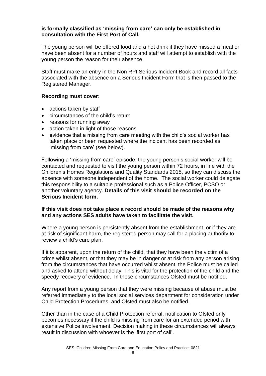#### **is formally classified as 'missing from care' can only be established in consultation with the First Port of Call.**

The young person will be offered food and a hot drink if they have missed a meal or have been absent for a number of hours and staff will attempt to establish with the young person the reason for their absence.

Staff must make an entry in the Non RPI Serious Incident Book and record all facts associated with the absence on a Serious Incident Form that is then passed to the Registered Manager.

#### **Recording must cover:**

- actions taken by staff
- circumstances of the child's return
- reasons for running away
- action taken in light of those reasons
- evidence that a missing from care meeting with the child's social worker has taken place or been requested where the incident has been recorded as 'missing from care' (see below).

Following a 'missing from care' episode, the young person's social worker will be contacted and requested to visit the young person within 72 hours, in line with the Children's Homes Regulations and Quality Standards 2015, so they can discuss the absence with someone independent of the home. The social worker could delegate this responsibility to a suitable professional such as a Police Officer, PCSO or another voluntary agency. **Details of this visit should be recorded on the Serious Incident form.** 

#### **If this visit does not take place a record should be made of the reasons why and any actions SES adults have taken to facilitate the visit.**

Where a young person is persistently absent from the establishment, or if they are at risk of significant harm, the registered person may call for a placing authority to review a child's care plan.

If it is apparent, upon the return of the child, that they have been the victim of a crime whilst absent, or that they may be in danger or at risk from any person arising from the circumstances that have occurred whilst absent, the Police must be called and asked to attend without delay. This is vital for the protection of the child and the speedy recovery of evidence. In these circumstances Ofsted must be notified.

Any report from a young person that they were missing because of abuse must be referred immediately to the local social services department for consideration under Child Protection Procedures, and Ofsted must also be notified.

Other than in the case of a Child Protection referral, notification to Ofsted only becomes necessary if the child is missing from care for an extended period with extensive Police involvement. Decision making in these circumstances will always result in discussion with whoever is the 'first port of call'.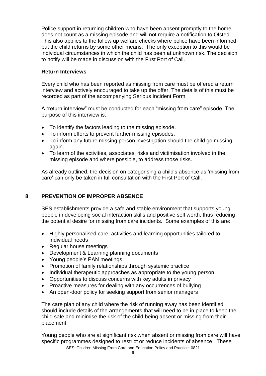Police support in returning children who have been absent promptly to the home does not count as a missing episode and will not require a notification to Ofsted. This also applies to the follow up welfare checks where police have been informed but the child returns by some other means. The only exception to this would be individual circumstances in which the child has been at unknown risk. The decision to notify will be made in discussion with the First Port of Call.

# **Return Interviews**

Every child who has been reported as missing from care must be offered a return interview and actively encouraged to take up the offer. The details of this must be recorded as part of the accompanying Serious Incident Form.

A "return interview" must be conducted for each "missing from care" episode. The purpose of this interview is:

- To identify the factors leading to the missing episode.
- To inform efforts to prevent further missing episodes.
- To inform any future missing person investigation should the child go missing again.
- To learn of the activities, associates, risks and victimisation involved in the missing episode and where possible, to address those risks.

As already outlined, the decision on categorising a child's absence as 'missing from care' can only be taken in full consultation with the First Port of Call.

# **8 PREVENTION OF IMPROPER ABSENCE**

SES establishments provide a safe and stable environment that supports young people in developing social interaction skills and positive self worth, thus reducing the potential desire for missing from care incidents. Some examples of this are:

- Highly personalised care, activities and learning opportunities tailored to individual needs
- Regular house meetings
- Development & Learning planning documents
- Young people's PAN meetings
- Promotion of family relationships through systemic practice
- Individual therapeutic approaches as appropriate to the young person
- Opportunities to discuss concerns with key adults in privacy
- Proactive measures for dealing with any occurrences of bullying
- An open-door policy for seeking support from senior managers

The care plan of any child where the risk of running away has been identified should include details of the arrangements that will need to be in place to keep the child safe and minimise the risk of the child being absent or missing from their placement.

Young people who are at significant risk when absent or missing from care will have specific programmes designed to restrict or reduce incidents of absence. These

SES: Children Missing From Care and Education Policy and Practice: 0821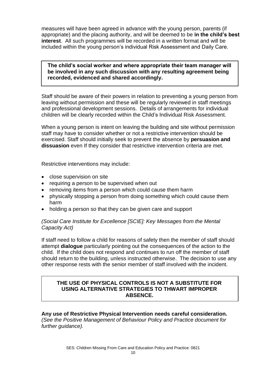measures will have been agreed in advance with the young person, parents (if appropriate) and the placing authority, and will be deemed to be **in the child's best interest**. All such programmes will be recorded in a written format and will be included within the young person's individual Risk Assessment and Daily Care.

**The child's social worker and where appropriate their team manager will be involved in any such discussion with any resulting agreement being recorded, evidenced and shared accordingly.** 

Staff should be aware of their powers in relation to preventing a young person from leaving without permission and these will be regularly reviewed in staff meetings and professional development sessions. Details of arrangements for individual children will be clearly recorded within the Child's Individual Risk Assessment.

When a young person is intent on leaving the building and site without permission staff may have to consider whether or not a restrictive intervention should be exercised. Staff should initially seek to prevent the absence by **persuasion and dissuasion** even If they consider that restrictive intervention criteria are met.

Restrictive interventions may include:

- close supervision on site
- requiring a person to be supervised when out
- removing items from a person which could cause them harm
- physically stopping a person from doing something which could cause them harm
- holding a person so that they can be given care and support

#### *(Social Care Institute for Excellence [SCIE]: Key Messages from the Mental Capacity Act)*

If staff need to follow a child for reasons of safety then the member of staff should attempt **dialogue** particularly pointing out the consequences of the action to the child. If the child does not respond and continues to run off the member of staff should return to the building, unless instructed otherwise. The decision to use any other response rests with the senior member of staff involved with the incident.

# **THE USE OF PHYSICAL CONTROLS IS NOT A SUBSTITUTE FOR USING ALTERNATIVE STRATEGIES TO THWART IMPROPER ABSENCE.**

**Any use of Restrictive Physical Intervention needs careful consideration.** *(See the Positive Management of Behaviour Policy and Practice document for further guidance).*